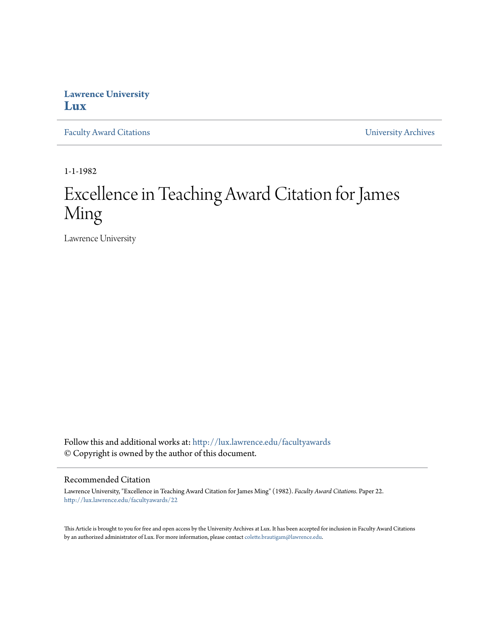## **Lawrence University [Lux](http://lux.lawrence.edu?utm_source=lux.lawrence.edu%2Ffacultyawards%2F22&utm_medium=PDF&utm_campaign=PDFCoverPages)**

[Faculty Award Citations](http://lux.lawrence.edu/facultyawards?utm_source=lux.lawrence.edu%2Ffacultyawards%2F22&utm_medium=PDF&utm_campaign=PDFCoverPages) **Example 2018** [University Archives](http://lux.lawrence.edu/archives?utm_source=lux.lawrence.edu%2Ffacultyawards%2F22&utm_medium=PDF&utm_campaign=PDFCoverPages)

1-1-1982

# Excellence in Teaching Award Citation for James Ming

Lawrence University

Follow this and additional works at: [http://lux.lawrence.edu/facultyawards](http://lux.lawrence.edu/facultyawards?utm_source=lux.lawrence.edu%2Ffacultyawards%2F22&utm_medium=PDF&utm_campaign=PDFCoverPages) © Copyright is owned by the author of this document.

#### Recommended Citation

Lawrence University, "Excellence in Teaching Award Citation for James Ming" (1982). *Faculty Award Citations.* Paper 22. [http://lux.lawrence.edu/facultyawards/22](http://lux.lawrence.edu/facultyawards/22?utm_source=lux.lawrence.edu%2Ffacultyawards%2F22&utm_medium=PDF&utm_campaign=PDFCoverPages)

This Article is brought to you for free and open access by the University Archives at Lux. It has been accepted for inclusion in Faculty Award Citations by an authorized administrator of Lux. For more information, please contact [colette.brautigam@lawrence.edu](mailto:colette.brautigam@lawrence.edu).